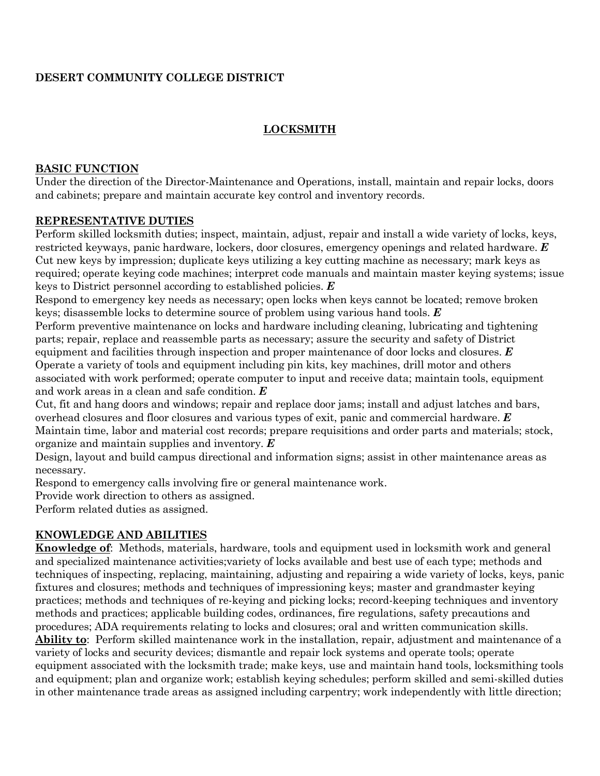# **DESERT COMMUNITY COLLEGE DISTRICT**

# **LOCKSMITH**

## **BASIC FUNCTION**

Under the direction of the Director-Maintenance and Operations, install, maintain and repair locks, doors and cabinets; prepare and maintain accurate key control and inventory records.

## **REPRESENTATIVE DUTIES**

Perform skilled locksmith duties; inspect, maintain, adjust, repair and install a wide variety of locks, keys, restricted keyways, panic hardware, lockers, door closures, emergency openings and related hardware. *E* Cut new keys by impression; duplicate keys utilizing a key cutting machine as necessary; mark keys as required; operate keying code machines; interpret code manuals and maintain master keying systems; issue keys to District personnel according to established policies. *E*

Respond to emergency key needs as necessary; open locks when keys cannot be located; remove broken keys; disassemble locks to determine source of problem using various hand tools. *E*

Perform preventive maintenance on locks and hardware including cleaning, lubricating and tightening parts; repair, replace and reassemble parts as necessary; assure the security and safety of District equipment and facilities through inspection and proper maintenance of door locks and closures. *E* Operate a variety of tools and equipment including pin kits, key machines, drill motor and others associated with work performed; operate computer to input and receive data; maintain tools, equipment and work areas in a clean and safe condition. *E*

Cut, fit and hang doors and windows; repair and replace door jams; install and adjust latches and bars, overhead closures and floor closures and various types of exit, panic and commercial hardware. *E* Maintain time, labor and material cost records; prepare requisitions and order parts and materials; stock, organize and maintain supplies and inventory. *E*

Design, layout and build campus directional and information signs; assist in other maintenance areas as necessary.

Respond to emergency calls involving fire or general maintenance work.

Provide work direction to others as assigned.

Perform related duties as assigned.

# **KNOWLEDGE AND ABILITIES**

**Knowledge of**: Methods, materials, hardware, tools and equipment used in locksmith work and general and specialized maintenance activities;variety of locks available and best use of each type; methods and techniques of inspecting, replacing, maintaining, adjusting and repairing a wide variety of locks, keys, panic fixtures and closures; methods and techniques of impressioning keys; master and grandmaster keying practices; methods and techniques of re-keying and picking locks; record-keeping techniques and inventory methods and practices; applicable building codes, ordinances, fire regulations, safety precautions and procedures; ADA requirements relating to locks and closures; oral and written communication skills. **Ability to**: Perform skilled maintenance work in the installation, repair, adjustment and maintenance of a variety of locks and security devices; dismantle and repair lock systems and operate tools; operate equipment associated with the locksmith trade; make keys, use and maintain hand tools, locksmithing tools and equipment; plan and organize work; establish keying schedules; perform skilled and semi-skilled duties in other maintenance trade areas as assigned including carpentry; work independently with little direction;